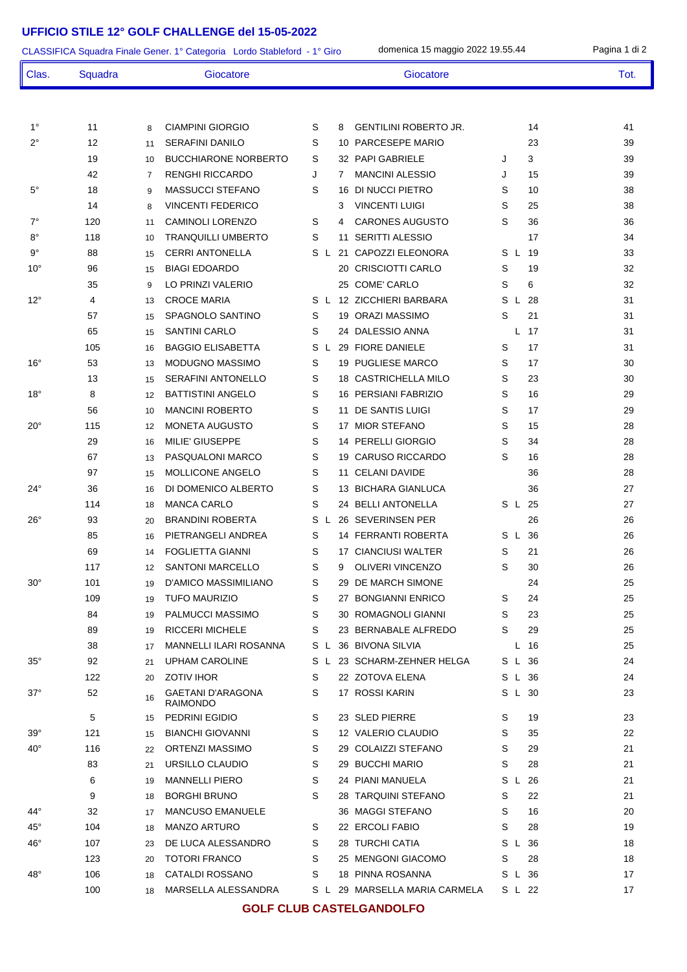## **UFFICIO STILE 12° GOLF CHALLENGE del 15-05-2022**

| CLASSIFICA Squadra Finale Gener. 1° Categoria Lordo Stableford - 1° Giro | domenica 15 maggio 2022 19.55.44 |          |                                              |        | Pagina 1 di 2 |      |                                            |        |         |          |          |
|--------------------------------------------------------------------------|----------------------------------|----------|----------------------------------------------|--------|---------------|------|--------------------------------------------|--------|---------|----------|----------|
| Clas.                                                                    | Squadra                          |          | Giocatore                                    |        |               |      | Giocatore                                  |        |         |          | Tot.     |
|                                                                          |                                  |          |                                              |        |               |      |                                            |        |         |          |          |
| $1^{\circ}$                                                              | 11                               | 8        | <b>CIAMPINI GIORGIO</b>                      | S      |               | 8    | <b>GENTILINI ROBERTO JR.</b>               |        |         | 14       | 41       |
| 2°                                                                       | 12                               | 11       | <b>SERAFINI DANILO</b>                       | S      |               |      | 10 PARCESEPE MARIO                         |        |         | 23       | 39       |
|                                                                          | 19                               | 10       | <b>BUCCHIARONE NORBERTO</b>                  | S      |               |      | 32 PAPI GABRIELE                           | J      | 3       |          | 39       |
|                                                                          | 42                               | 7        | <b>RENGHI RICCARDO</b>                       | J      |               | 7    | <b>MANCINI ALESSIO</b>                     | J      |         | 15       | 39       |
| $5^{\circ}$                                                              | 18                               | 9        | <b>MASSUCCI STEFANO</b>                      | S      |               |      | 16 DI NUCCI PIETRO                         | S      |         | 10       | 38       |
|                                                                          | 14                               | 8        | <b>VINCENTI FEDERICO</b>                     |        |               | 3    | <b>VINCENTI LUIGI</b>                      | S      |         | 25       | 38       |
| $7^\circ$                                                                | 120                              | 11       | <b>CAMINOLI LORENZO</b>                      | S      |               | 4    | <b>CARONES AUGUSTO</b>                     | S      |         | 36       | 36       |
| $8^{\circ}$                                                              | 118                              | 10       | <b>TRANQUILLI UMBERTO</b>                    | S      |               | 11   | SERITTI ALESSIO                            |        |         | 17       | 34       |
| $9^{\circ}$                                                              | 88                               | 15       | <b>CERRI ANTONELLA</b>                       | S L    |               |      | 21 CAPOZZI ELEONORA                        | S L    | - 19    |          | 33       |
| $10^{\circ}$                                                             | 96                               | 15       | <b>BIAGI EDOARDO</b>                         |        |               | 20 - | <b>CRISCIOTTI CARLO</b>                    | S      |         | 19       | 32       |
|                                                                          | 35                               | 9        | LO PRINZI VALERIO                            |        |               |      | 25 COME' CARLO                             | S      | 6       |          | 32       |
| $12^{\circ}$                                                             | 4                                | 13       | <b>CROCE MARIA</b>                           | S.     |               |      | L 12 ZICCHIERI BARBARA                     | S      | 28<br>L |          | 31       |
|                                                                          | 57                               | 15       | SPAGNOLO SANTINO                             | S      |               |      | 19 ORAZI MASSIMO                           | S      |         | 21       | 31       |
|                                                                          | 65                               | 15       | <b>SANTINI CARLO</b>                         | S      |               |      | 24 DALESSIO ANNA                           |        | 17<br>L |          | 31       |
|                                                                          | 105                              | 16       | <b>BAGGIO ELISABETTA</b>                     | S      | L.            |      | 29 FIORE DANIELE                           | S      |         | 17       | 31       |
| $16^{\circ}$                                                             | 53                               | 13       | <b>MODUGNO MASSIMO</b>                       | S      |               |      | 19 PUGLIESE MARCO                          | S      |         | 17       | 30       |
|                                                                          | 13                               | 15       | <b>SERAFINI ANTONELLO</b>                    | S      |               |      | <b>18 CASTRICHELLA MILO</b>                | S      |         | 23       | 30       |
| $18^{\circ}$                                                             | 8                                | 12       | <b>BATTISTINI ANGELO</b>                     | S      |               |      | 16 PERSIANI FABRIZIO                       | S      |         | 16       | 29       |
|                                                                          | 56                               | 10       | <b>MANCINI ROBERTO</b>                       | S      |               |      | 11 DE SANTIS LUIGI                         | S      |         | 17       | 29       |
| $20^{\circ}$                                                             | 115                              | 12       | <b>MONETA AUGUSTO</b>                        | S      |               |      | 17 MIOR STEFANO                            | S      |         | 15       | 28       |
|                                                                          | 29                               | 16       | MILIE' GIUSEPPE                              | S      |               |      | 14 PERELLI GIORGIO                         | S      |         | 34       | 28       |
|                                                                          | 67                               | 13       | PASQUALONI MARCO                             | S      |               |      | 19 CARUSO RICCARDO                         | S      |         | 16       | 28       |
|                                                                          | 97                               | 15       | MOLLICONE ANGELO                             | S      |               |      | 11 CELANI DAVIDE                           |        |         | 36       | 28       |
| $24^{\circ}$                                                             | 36                               | 16       | DI DOMENICO ALBERTO                          | S      |               |      | 13 BICHARA GIANLUCA                        |        |         | 36       | 27       |
|                                                                          | 114                              | 18       | <b>MANCA CARLO</b>                           | S      |               |      | 24 BELLI ANTONELLA                         | S L    | 25      |          | 27       |
| $26^{\circ}$                                                             | 93                               | 20       | <b>BRANDINI ROBERTA</b>                      | S      |               |      | L 26 SEVERINSEN PER                        |        |         | 26       | 26       |
|                                                                          | 85                               | 16       | PIETRANGELI ANDREA                           | S      |               |      | 14 FERRANTI ROBERTA                        |        | S L 36  |          | 26       |
|                                                                          | 69                               | 14       | FOGLIETTA GIANNI                             | S      |               |      | 17 CIANCIUSI WALTER                        | S      |         | 21       | 26       |
|                                                                          | 117                              | 12       | <b>SANTONI MARCELLO</b>                      | S      |               | 9    | <b>OLIVERI VINCENZO</b>                    | S      |         | 30       | 26       |
| $30^\circ$                                                               | 101                              | 19       | D'AMICO MASSIMILIANO<br><b>TUFO MAURIZIO</b> | S      |               |      | 29 DE MARCH SIMONE                         |        |         | 24       | 25       |
|                                                                          | 109                              | 19       | PALMUCCI MASSIMO                             | S<br>S |               |      | 27 BONGIANNI ENRICO<br>30 ROMAGNOLI GIANNI | S<br>S |         | 24<br>23 | 25<br>25 |
|                                                                          | 84<br>89                         | 19       | <b>RICCERI MICHELE</b>                       | S      |               |      | 23 BERNABALE ALFREDO                       | S      |         | 29       | 25       |
|                                                                          | 38                               | 19       | <b>MANNELLI ILARI ROSANNA</b>                |        |               |      | S L 36 BIVONA SILVIA                       |        | L 16    |          | 25       |
| $35^\circ$                                                               | 92                               | 17<br>21 | <b>UPHAM CAROLINE</b>                        |        |               |      | S L 23 SCHARM-ZEHNER HELGA                 |        | S L 36  |          | 24       |
|                                                                          | 122                              | 20       | <b>ZOTIV IHOR</b>                            | S      |               |      | 22 ZOTOVA ELENA                            |        | S L 36  |          | 24       |
| $37^\circ$                                                               | 52                               |          | GAETANI D'ARAGONA                            | S      |               |      | 17 ROSSI KARIN                             |        | S L 30  |          | 23       |
|                                                                          |                                  | 16       | <b>RAIMONDO</b>                              |        |               |      |                                            |        |         |          |          |
|                                                                          | 5                                | 15       | PEDRINI EGIDIO                               | S      |               |      | 23 SLED PIERRE                             | S      |         | 19       | 23       |
| $39^\circ$                                                               | 121                              | 15       | <b>BIANCHI GIOVANNI</b>                      | S      |               |      | 12 VALERIO CLAUDIO                         | S      |         | 35       | 22       |
| $40^{\circ}$                                                             | 116                              | 22       | ORTENZI MASSIMO                              | S      |               |      | 29 COLAIZZI STEFANO                        | S      |         | 29       | 21       |
|                                                                          | 83                               | 21       | URSILLO CLAUDIO                              | S      |               |      | 29 BUCCHI MARIO                            | S      |         | 28       | 21       |
|                                                                          | 6                                | 19       | <b>MANNELLI PIERO</b>                        | S      |               |      | 24 PIANI MANUELA                           | S L    | -26     |          | 21       |
|                                                                          | 9                                | 18       | <b>BORGHI BRUNO</b>                          | S      |               |      | 28 TARQUINI STEFANO                        | S      |         | 22       | 21       |
| 44°                                                                      | 32                               | 17       | <b>MANCUSO EMANUELE</b>                      |        |               |      | 36 MAGGI STEFANO                           | S      |         | 16       | 20       |
| $45^{\circ}$                                                             | 104                              | 18       | <b>MANZO ARTURO</b>                          | S      |               |      | 22 ERCOLI FABIO                            | S      |         | 28       | 19       |
| $46^{\circ}$                                                             | 107                              | 23       | DE LUCA ALESSANDRO                           | S      |               |      | 28 TURCHI CATIA                            |        | S L 36  |          | 18       |
|                                                                          | 123                              | 20       | <b>TOTORI FRANCO</b>                         | S      |               |      | 25 MENGONI GIACOMO                         | S      |         | 28       | 18       |
| $48^{\circ}$                                                             | 106                              | 18       | CATALDI ROSSANO                              | S      |               |      | 18 PINNA ROSANNA                           |        | S L 36  |          | 17       |
|                                                                          | 100                              | 18       | MARSELLA ALESSANDRA                          |        |               |      | S L 29 MARSELLA MARIA CARMELA              |        | S L 22  |          | 17       |

## **GOLF CLUB CASTELGANDOLFO**